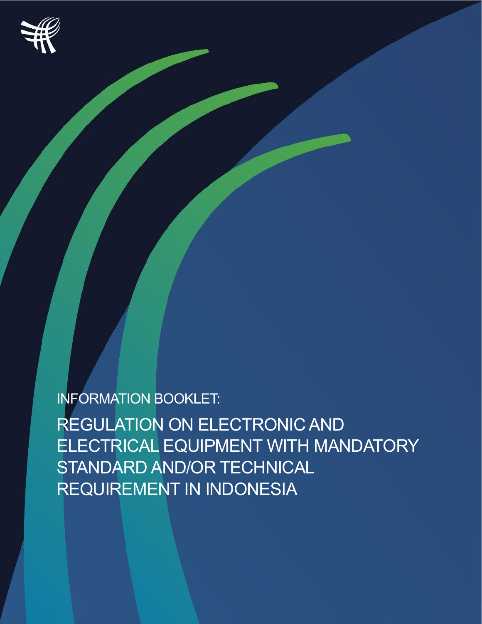

INFORMATION BOOKLET:

REGULATION ON ELECTRONIC AND ELECTRICAL EQUIPMENT WITH MANDATORY STANDARD AND/OR TECHNICAL REQUIREMENT IN INDONESIA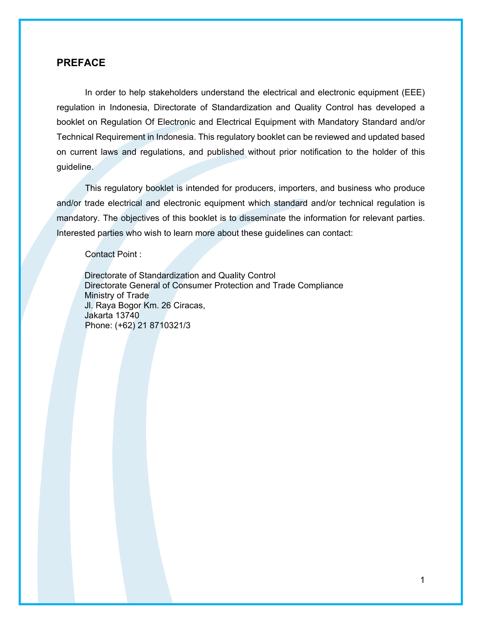### <span id="page-1-0"></span>**PREFACE**

In order to help stakeholders understand the electrical and electronic equipment (EEE) regulation in Indonesia, Directorate of Standardization and Quality Control has developed a booklet on Regulation Of Electronic and Electrical Equipment with Mandatory Standard and/or Technical Requirement in Indonesia. This regulatory booklet can be reviewed and updated based on current laws and regulations, and published without prior notification to the holder of this guideline.

This regulatory booklet is intended for producers, importers, and business who produce and/or trade electrical and electronic equipment which standard and/or technical regulation is mandatory. The objectives of this booklet is to disseminate the information for relevant parties. Interested parties who wish to learn more about these guidelines can contact:

Contact Point :

Directorate of Standardization and Quality Control Directorate General of Consumer Protection and Trade Compliance Ministry of Trade Jl. Raya Bogor Km. 26 Ciracas, Jakarta 13740 Phone: (+62) 21 8710321/3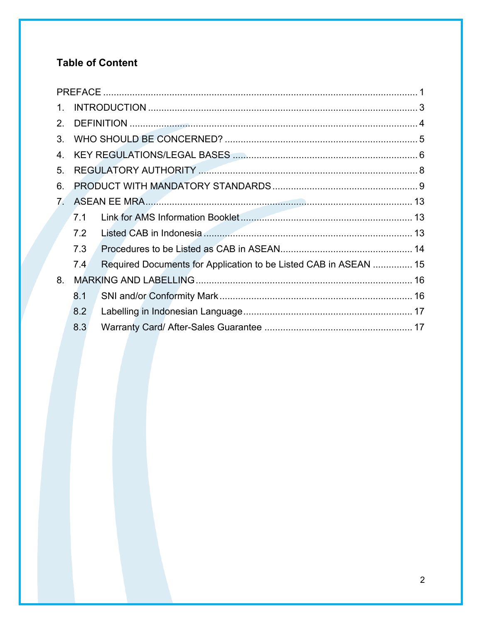# **Table of Content**

| $1_{-}$                        |     |                                                                  |  |
|--------------------------------|-----|------------------------------------------------------------------|--|
| 2.                             |     |                                                                  |  |
| 3.                             |     |                                                                  |  |
| 4.                             |     |                                                                  |  |
| 5.                             |     |                                                                  |  |
| 6.                             |     |                                                                  |  |
| $7_{\scriptscriptstyle{\sim}}$ |     |                                                                  |  |
|                                | 7.1 |                                                                  |  |
|                                | 7.2 |                                                                  |  |
|                                | 7.3 |                                                                  |  |
|                                | 7.4 | Required Documents for Application to be Listed CAB in ASEAN  15 |  |
| 8.                             |     |                                                                  |  |
|                                | 8.1 |                                                                  |  |
|                                | 8.2 |                                                                  |  |
|                                | 8.3 |                                                                  |  |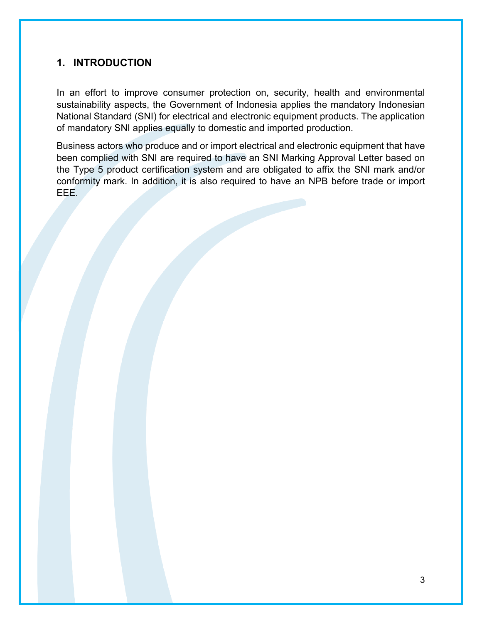## <span id="page-3-0"></span>**1. INTRODUCTION**

In an effort to improve consumer protection on, security, health and environmental sustainability aspects, the Government of Indonesia applies the mandatory Indonesian National Standard (SNI) for electrical and electronic equipment products. The application of mandatory SNI applies equally to domestic and imported production.

Business actors who produce and or import electrical and electronic equipment that have been complied with SNI are required to have an SNI Marking Approval Letter based on the Type 5 product certification system and are obligated to affix the SNI mark and/or conformity mark. In addition, it is also required to have an NPB before trade or import EEE.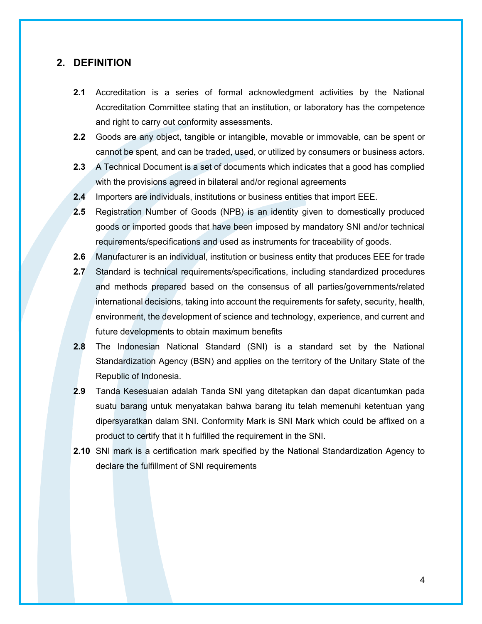### <span id="page-4-0"></span>**2. DEFINITION**

- **2.1** Accreditation is a series of formal acknowledgment activities by the National Accreditation Committee stating that an institution, or laboratory has the competence and right to carry out conformity assessments.
- **2.2** Goods are any object, tangible or intangible, movable or immovable, can be spent or cannot be spent, and can be traded, used, or utilized by consumers or business actors.
- **2.3** A Technical Document is a set of documents which indicates that a good has complied with the provisions agreed in bilateral and/or regional agreements
- **2.4** Importers are individuals, institutions or business entities that import EEE.
- **2.5** Registration Number of Goods (NPB) is an identity given to domestically produced goods or imported goods that have been imposed by mandatory SNI and/or technical requirements/specifications and used as instruments for traceability of goods.
- **2.6** Manufacturer is an individual, institution or business entity that produces EEE for trade
- **2.7** Standard is technical requirements/specifications, including standardized procedures and methods prepared based on the consensus of all parties/governments/related international decisions, taking into account the requirements for safety, security, health, environment, the development of science and technology, experience, and current and future developments to obtain maximum benefits
- **2.8** The Indonesian National Standard (SNI) is a standard set by the National Standardization Agency (BSN) and applies on the territory of the Unitary State of the Republic of Indonesia.
- **2.9** Tanda Kesesuaian adalah Tanda SNI yang ditetapkan dan dapat dicantumkan pada suatu barang untuk menyatakan bahwa barang itu telah memenuhi ketentuan yang dipersyaratkan dalam SNI. Conformity Mark is SNI Mark which could be affixed on a product to certify that it h fulfilled the requirement in the SNI.
- **2.10** SNI mark is a certification mark specified by the National Standardization Agency to declare the fulfillment of SNI requirements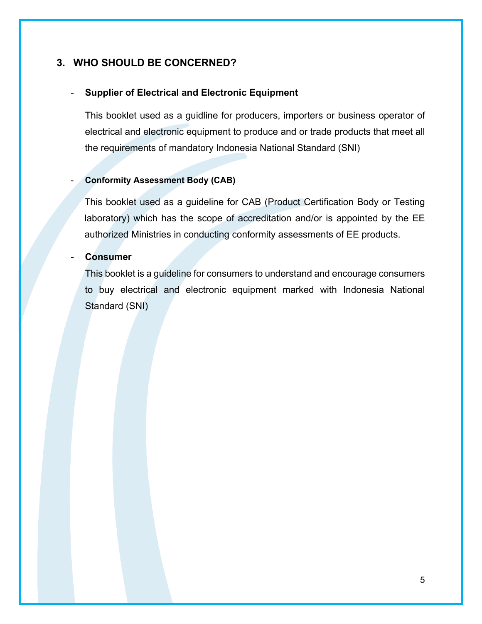## <span id="page-5-0"></span>**3. WHO SHOULD BE CONCERNED?**

### - **Supplier of Electrical and Electronic Equipment**

This booklet used as a guidline for producers, importers or business operator of electrical and electronic equipment to produce and or trade products that meet all the requirements of mandatory Indonesia National Standard (SNI)

### - **Conformity Assessment Body (CAB)**

This booklet used as a guideline for CAB (Product Certification Body or Testing laboratory) which has the scope of accreditation and/or is appointed by the EE authorized Ministries in conducting conformity assessments of EE products.

### - **Consumer**

This booklet is a guideline for consumers to understand and encourage consumers to buy electrical and electronic equipment marked with Indonesia National Standard (SNI)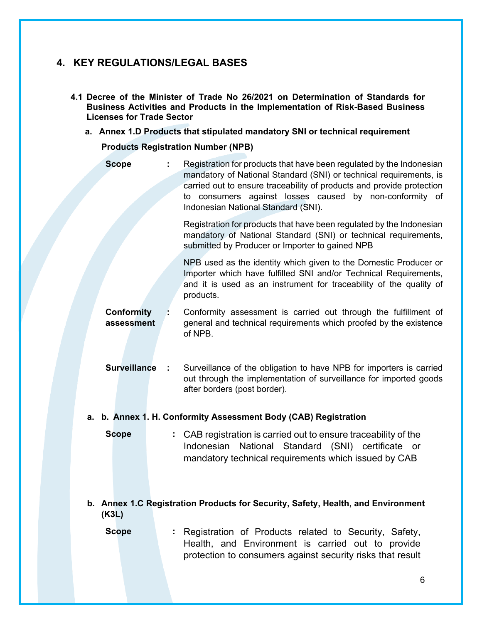# <span id="page-6-0"></span>**4. KEY REGULATIONS/LEGAL BASES**

- **4.1 Decree of the Minister of Trade No 26/2021 on Determination of Standards for Business Activities and Products in the Implementation of Risk-Based Business Licenses for Trade Sector** 
	- **a. Annex 1.D Products that stipulated mandatory SNI or technical requirement**

**Products Registration Number (NPB)**

| <b>Scope</b>                    | Registration for products that have been regulated by the Indonesian<br>mandatory of National Standard (SNI) or technical requirements, is<br>carried out to ensure traceability of products and provide protection<br>to consumers against losses caused by non-conformity of<br>Indonesian National Standard (SNI). |
|---------------------------------|-----------------------------------------------------------------------------------------------------------------------------------------------------------------------------------------------------------------------------------------------------------------------------------------------------------------------|
|                                 | Registration for products that have been regulated by the Indonesian<br>mandatory of National Standard (SNI) or technical requirements,<br>submitted by Producer or Importer to gained NPB                                                                                                                            |
|                                 | NPB used as the identity which given to the Domestic Producer or<br>Importer which have fulfilled SNI and/or Technical Requirements,<br>and it is used as an instrument for traceability of the quality of<br>products.                                                                                               |
| <b>Conformity</b><br>assessment | Conformity assessment is carried out through the fulfillment of<br>general and technical requirements which proofed by the existence<br>of NPB.                                                                                                                                                                       |
| <b>Surveillance</b><br>- 11     | Surveillance of the obligation to have NPB for importers is carried<br>out through the implementation of surveillance for imported goods<br>after borders (post border).                                                                                                                                              |
|                                 | a. b. Annex 1. H. Conformity Assessment Body (CAB) Registration                                                                                                                                                                                                                                                       |
| <b>Scope</b>                    | : CAB registration is carried out to ensure traceability of the<br>Indonesian National Standard (SNI) certificate or<br>mandatory technical requirements which issued by CAB                                                                                                                                          |
| (K3L)                           | b. Annex 1.C Registration Products for Security, Safety, Health, and Environment                                                                                                                                                                                                                                      |
| <b>Scope</b>                    | Registration of Products related to Security, Safety,<br>Health, and Environment is carried out to provide<br>protection to consumers against security risks that result                                                                                                                                              |
|                                 | 6                                                                                                                                                                                                                                                                                                                     |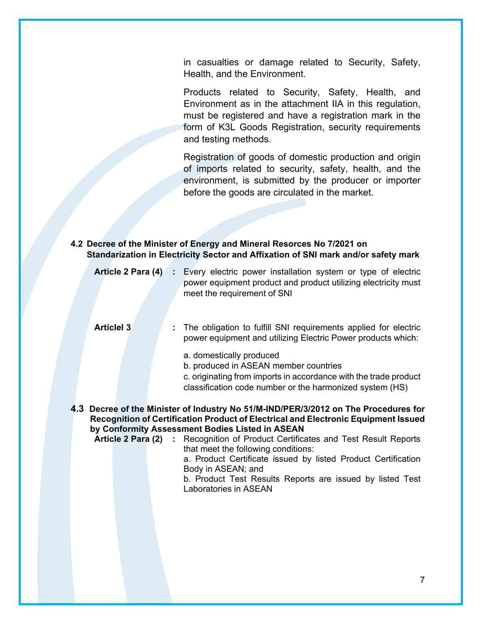in casualties or damage related to Security, Safety, Health, and the Environment.

Products related to Security, Safety, Health, and Environment as in the attachment IIA in this regulation, must be registered and have a registration mark in the form of K3L Goods Registration, security requirements and testing methods.

Registration of goods of domestic production and origin of imports related to security, safety, health, and the environment, is submitted by the producer or importer before the goods are circulated in the market.

**4.2 Decree of the Minister of Energy and Mineral Resorces No 7/2021 on Standarization in Electricity Sector and Affixation of SNI mark and/or safety mark**

|                      | <b>Article 2 Para (4)</b> : Every electric power installation system or type of electric<br>power equipment product and product utilizing electricity must<br>meet the requirement of SNI                                                                                       |
|----------------------|---------------------------------------------------------------------------------------------------------------------------------------------------------------------------------------------------------------------------------------------------------------------------------|
| <b>Articlel 3</b>    | The obligation to fulfill SNI requirements applied for electric<br>power equipment and utilizing Electric Power products which:                                                                                                                                                 |
|                      | a. domestically produced<br>b. produced in ASEAN member countries<br>c. originating from imports in accordance with the trade product<br>classification code number or the harmonized system (HS)                                                                               |
|                      | 4.3 Decree of the Minister of Industry No 51/M-IND/PER/3/2012 on The Procedures for<br>Recognition of Certification Product of Electrical and Electronic Equipment Issued<br>by Conformity Assessment Bodies Listed in ASEAN                                                    |
| Article 2 Para (2) : | Recognition of Product Certificates and Test Result Reports<br>that meet the following conditions:<br>a. Product Certificate issued by listed Product Certification<br>Body in ASEAN; and<br>b. Product Test Results Reports are issued by listed Test<br>Laboratories in ASEAN |
|                      |                                                                                                                                                                                                                                                                                 |
|                      |                                                                                                                                                                                                                                                                                 |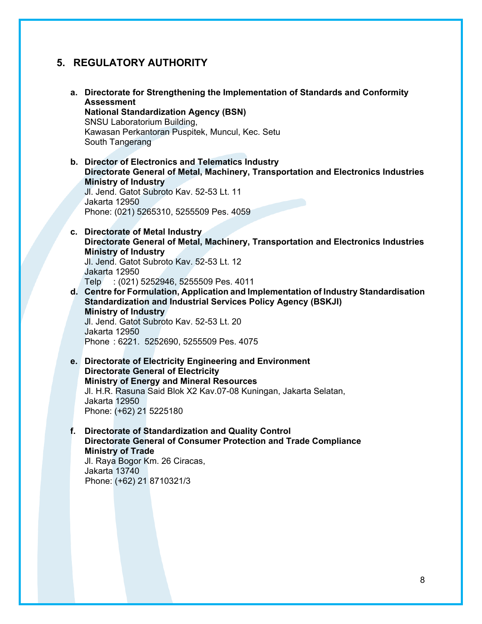## <span id="page-8-0"></span>**5. REGULATORY AUTHORITY**

- **a. Directorate for Strengthening the Implementation of Standards and Conformity Assessment National Standardization Agency (BSN)** SNSU Laboratorium Building, Kawasan Perkantoran Puspitek, Muncul, Kec. Setu South Tangerang
- **b. Director of Electronics and Telematics Industry Directorate General of Metal, Machinery, Transportation and Electronics Industries Ministry of Industry**

Jl. Jend. Gatot Subroto Kav. 52-53 Lt. 11 Jakarta 12950 Phone: (021) 5265310, 5255509 Pes. 4059

**c. Directorate of Metal Industry Directorate General of Metal, Machinery, Transportation and Electronics Industries Ministry of Industry**

Jl. Jend. Gatot Subroto Kav. 52-53 Lt. 12 Jakarta 12950

Telp : (021) 5252946, 5255509 Pes. 4011

**d. Centre for Formulation, Application and Implementation of Industry Standardisation Standardization and Industrial Services Policy Agency (BSKJI) Ministry of Industry** Jl. Jend. Gatot Subroto Kav. 52-53 Lt. 20 Jakarta 12950

Phone : 6221. 5252690, 5255509 Pes. 4075

- **e. Directorate of Electricity Engineering and Environment Directorate General of Electricity Ministry of Energy and Mineral Resources** Jl. H.R. Rasuna Said Blok X2 Kav.07-08 Kuningan, Jakarta Selatan, Jakarta 12950 Phone: (+62) 21 5225180
- **f. Directorate of Standardization and Quality Control Directorate General of Consumer Protection and Trade Compliance Ministry of Trade**

Jl. Raya Bogor Km. 26 Ciracas, Jakarta 13740 Phone: (+62) 21 8710321/3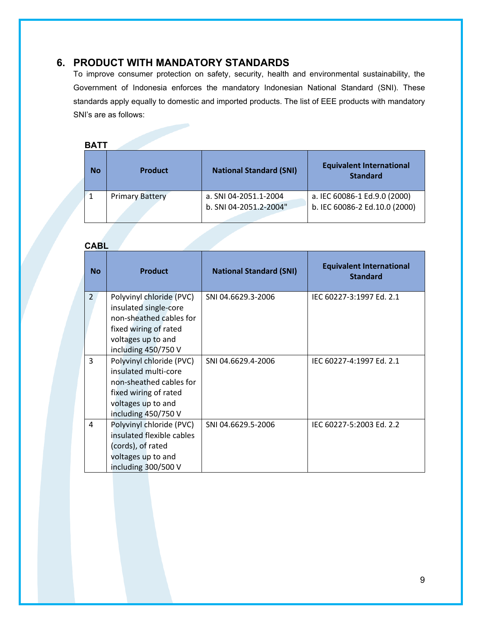## <span id="page-9-0"></span>**6. PRODUCT WITH MANDATORY STANDARDS**

To improve consumer protection on safety, security, health and environmental sustainability, the Government of Indonesia enforces the mandatory Indonesian National Standard (SNI). These standards apply equally to domestic and imported products. The list of EEE products with mandatory SNI's are as follows:

### **BATT**

| No | <b>Product</b>         | <b>National Standard (SNI)</b>                  | <b>Equivalent International</b><br><b>Standard</b>            |
|----|------------------------|-------------------------------------------------|---------------------------------------------------------------|
|    | <b>Primary Battery</b> | a. SNI 04-2051.1-2004<br>b. SNI 04-2051.2-2004" | a. IEC 60086-1 Ed.9.0 (2000)<br>b. IEC 60086-2 Ed.10.0 (2000) |

### **CABL**

| <b>No</b>      | <b>Product</b>                                                                                                                                     | <b>National Standard (SNI)</b> | <b>Equivalent International</b><br><b>Standard</b> |
|----------------|----------------------------------------------------------------------------------------------------------------------------------------------------|--------------------------------|----------------------------------------------------|
| $\overline{2}$ | Polyvinyl chloride (PVC)<br>insulated single-core<br>non-sheathed cables for<br>fixed wiring of rated<br>voltages up to and<br>including 450/750 V | SNI 04.6629.3-2006             | IEC 60227-3:1997 Ed. 2.1                           |
| 3              | Polyvinyl chloride (PVC)<br>insulated multi-core<br>non-sheathed cables for<br>fixed wiring of rated<br>voltages up to and<br>including 450/750 V  | SNI 04.6629.4-2006             | IEC 60227-4:1997 Ed. 2.1                           |
| 4              | Polyvinyl chloride (PVC)<br>insulated flexible cables<br>(cords), of rated<br>voltages up to and<br>including 300/500 V                            | SNI 04.6629.5-2006             | IEC 60227-5:2003 Ed. 2.2                           |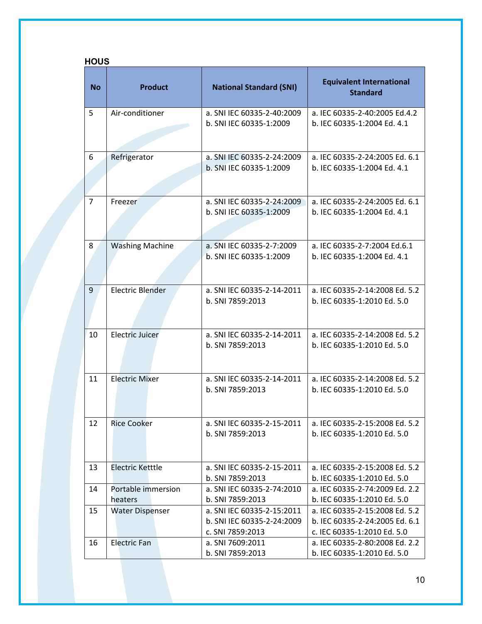|                | <b>HOUS</b>                   |                                                                              |                                                                                                 |  |
|----------------|-------------------------------|------------------------------------------------------------------------------|-------------------------------------------------------------------------------------------------|--|
| <b>No</b>      | <b>Product</b>                | <b>National Standard (SNI)</b>                                               | <b>Equivalent International</b><br><b>Standard</b>                                              |  |
| 5              | Air-conditioner               | a. SNI IEC 60335-2-40:2009<br>b. SNI IEC 60335-1:2009                        | a. IEC 60335-2-40:2005 Ed.4.2<br>b. IEC 60335-1:2004 Ed. 4.1                                    |  |
| 6              | Refrigerator                  | a. SNI IEC 60335-2-24:2009<br>b. SNI IEC 60335-1:2009                        | a. IEC 60335-2-24:2005 Ed. 6.1<br>b. IEC 60335-1:2004 Ed. 4.1                                   |  |
| $\overline{7}$ | Freezer                       | a. SNI IEC 60335-2-24:2009<br>b. SNI IEC 60335-1:2009                        | a. IEC 60335-2-24:2005 Ed. 6.1<br>b. IEC 60335-1:2004 Ed. 4.1                                   |  |
| 8              | <b>Washing Machine</b>        | a. SNI IEC 60335-2-7:2009<br>b. SNI IEC 60335-1:2009                         | a. IEC 60335-2-7:2004 Ed.6.1<br>b. IEC 60335-1:2004 Ed. 4.1                                     |  |
| 9              | <b>Electric Blender</b>       | a. SNI IEC 60335-2-14-2011<br>b. SNI 7859:2013                               | a. IEC 60335-2-14:2008 Ed. 5.2<br>b. IEC 60335-1:2010 Ed. 5.0                                   |  |
| 10             | <b>Electric Juicer</b>        | a. SNI IEC 60335-2-14-2011<br>b. SNI 7859:2013                               | a. IEC 60335-2-14:2008 Ed. 5.2<br>b. IEC 60335-1:2010 Ed. 5.0                                   |  |
| 11             | <b>Electric Mixer</b>         | a. SNI IEC 60335-2-14-2011<br>b. SNI 7859:2013                               | a. IEC 60335-2-14:2008 Ed. 5.2<br>b. IEC 60335-1:2010 Ed. 5.0                                   |  |
| 12             | <b>Rice Cooker</b>            | a. SNI IEC 60335-2-15-2011<br>b. SNI 7859:2013                               | a. IEC 60335-2-15:2008 Ed. 5.2<br>b. IEC 60335-1:2010 Ed. 5.0                                   |  |
| 13             | Electric Ketttle              | a. SNI IEC 60335-2-15-2011<br>b. SNI 7859:2013                               | a. IEC 60335-2-15:2008 Ed. 5.2<br>b. IEC 60335-1:2010 Ed. 5.0                                   |  |
| 14             | Portable immersion<br>heaters | a. SNI IEC 60335-2-74:2010<br>b. SNI 7859:2013                               | a. IEC 60335-2-74:2009 Ed. 2.2<br>b. IEC 60335-1:2010 Ed. 5.0                                   |  |
| 15             | <b>Water Dispenser</b>        | a. SNI IEC 60335-2-15:2011<br>b. SNI IEC 60335-2-24:2009<br>c. SNI 7859:2013 | a. IEC 60335-2-15:2008 Ed. 5.2<br>b. IEC 60335-2-24:2005 Ed. 6.1<br>c. IEC 60335-1:2010 Ed. 5.0 |  |
| 16             | <b>Electric Fan</b>           | a. SNI 7609:2011<br>b. SNI 7859:2013                                         | a. IEC 60335-2-80:2008 Ed. 2.2<br>b. IEC 60335-1:2010 Ed. 5.0                                   |  |

## 10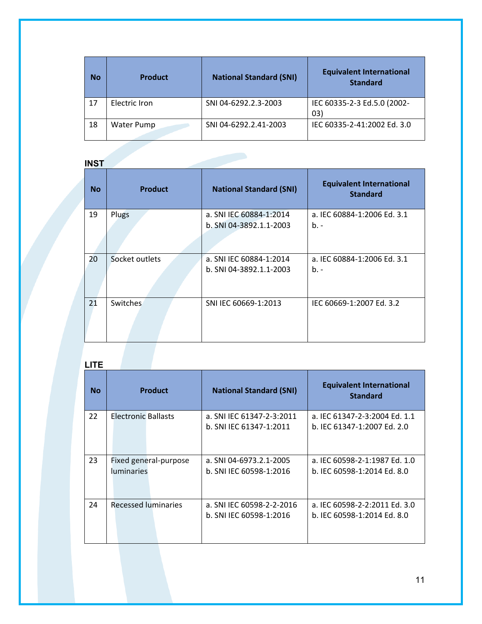| No | <b>Product</b>    | <b>National Standard (SNI)</b> | <b>Equivalent International</b><br><b>Standard</b> |
|----|-------------------|--------------------------------|----------------------------------------------------|
| 17 | Electric Iron     | SNI 04-6292.2.3-2003           | IEC 60335-2-3 Ed.5.0 (2002-<br>(03)                |
| 18 | <b>Water Pump</b> | SNI 04-6292.2.41-2003          | IEC 60335-2-41:2002 Ed. 3.0                        |

# **INST**

| <b>No</b> | <b>Product</b> | <b>National Standard (SNI)</b>                     | <b>Equivalent International</b><br><b>Standard</b> |
|-----------|----------------|----------------------------------------------------|----------------------------------------------------|
| 19        | Plugs          | a. SNI IEC 60884-1:2014<br>b. SNI 04-3892.1.1-2003 | a. IEC 60884-1:2006 Ed. 3.1<br>$b -$               |
| 20        | Socket outlets | a. SNI IEC 60884-1:2014<br>b. SNI 04-3892.1.1-2003 | a. IEC 60884-1:2006 Ed. 3.1<br>$b -$               |
| 21        | Switches       | SNI IEC 60669-1:2013                               | IEC 60669-1:2007 Ed. 3.2                           |

# **LITE**

| No | <b>Product</b>                             | <b>National Standard (SNI)</b>                       | <b>Equivalent International</b><br><b>Standard</b>           |
|----|--------------------------------------------|------------------------------------------------------|--------------------------------------------------------------|
| 22 | Electronic Ballasts                        | a. SNI IEC 61347-2-3:2011<br>b. SNI IEC 61347-1:2011 | a. IEC 61347-2-3:2004 Ed. 1.1<br>b. IEC 61347-1:2007 Ed. 2.0 |
| 23 | Fixed general-purpose<br><b>luminaries</b> | a. SNI 04-6973.2.1-2005<br>b. SNI IEC 60598-1:2016   | a. IEC 60598-2-1:1987 Ed. 1.0<br>b. IEC 60598-1:2014 Ed. 8.0 |
| 24 | Recessed luminaries                        | a. SNI IEC 60598-2-2-2016<br>b. SNI IEC 60598-1:2016 | a. IEC 60598-2-2:2011 Ed. 3.0<br>b. IEC 60598-1:2014 Ed. 8.0 |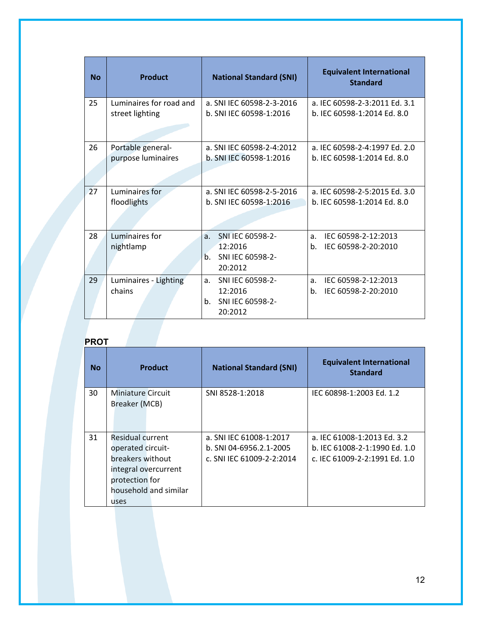| <b>No</b> | <b>Product</b>                  | <b>National Standard (SNI)</b>                                                          | <b>Equivalent International</b><br><b>Standard</b>                 |
|-----------|---------------------------------|-----------------------------------------------------------------------------------------|--------------------------------------------------------------------|
| 25        | Luminaires for road and         | a. SNI IEC 60598-2-3-2016                                                               | a. IEC 60598-2-3:2011 Ed. 3.1                                      |
|           | street lighting                 | b. SNI IEC 60598-1:2016                                                                 | b. IEC 60598-1:2014 Ed. 8.0                                        |
| 26        | Portable general-               | a. SNI IEC 60598-2-4:2012                                                               | a. IEC 60598-2-4:1997 Ed. 2.0                                      |
|           | purpose luminaires              | b. SNI IEC 60598-1:2016                                                                 | b. IEC 60598-1:2014 Ed. 8.0                                        |
| 27        | Luminaires for                  | a. SNI IEC 60598-2-5-2016                                                               | a. IEC 60598-2-5:2015 Ed. 3.0                                      |
|           | floodlights                     | b. SNI IEC 60598-1:2016                                                                 | b. IEC 60598-1:2014 Ed. 8.0                                        |
| 28        | Luminaires for<br>nightlamp     | SNI IEC 60598-2-<br>a <sub>r</sub><br>12:2016<br>SNI IEC 60598-2-<br>$h_{-}$<br>20:2012 | a.<br>IEC 60598-2-12:2013<br>b.<br>IEC 60598-2-20:2010             |
| 29        | Luminaires - Lighting<br>chains | SNI IEC 60598-2-<br>a <sub>z</sub><br>12:2016<br>SNI IEC 60598-2-<br>b.<br>20:2012      | a <sub>z</sub><br>IEC 60598-2-12:2013<br>b.<br>IEC 60598-2-20:2010 |

# **PROT**

| <b>No</b> | <b>Product</b>                                                                                                                       | <b>National Standard (SNI)</b>                                                  | <b>Equivalent International</b><br><b>Standard</b>                                            |
|-----------|--------------------------------------------------------------------------------------------------------------------------------------|---------------------------------------------------------------------------------|-----------------------------------------------------------------------------------------------|
| 30        | <b>Miniature Circuit</b><br>Breaker (MCB)                                                                                            | SNI 8528-1:2018                                                                 | IEC 60898-1:2003 Ed. 1.2                                                                      |
| 31        | Residual current<br>operated circuit-<br>breakers without<br>integral overcurrent<br>protection for<br>household and similar<br>uses | a. SNI IEC 61008-1:2017<br>b. SNI 04-6956.2.1-2005<br>c. SNI IEC 61009-2-2:2014 | a. IEC 61008-1:2013 Ed. 3.2<br>b. IEC 61008-2-1:1990 Ed. 1.0<br>c. IEC 61009-2-2:1991 Ed. 1.0 |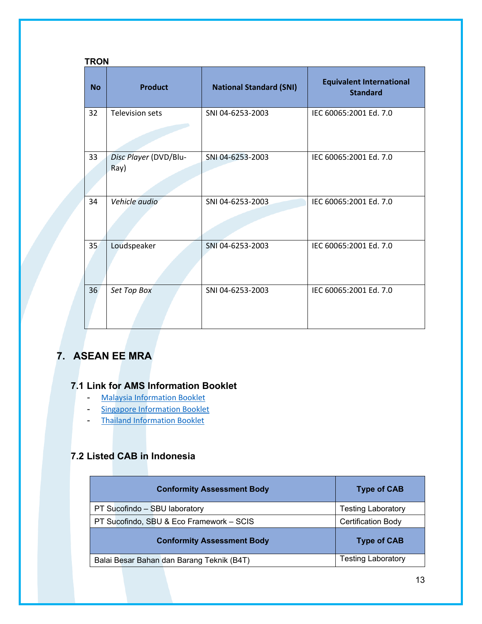|           | <b>TRON</b>                   |                                |                                                    |  |  |  |
|-----------|-------------------------------|--------------------------------|----------------------------------------------------|--|--|--|
| <b>No</b> | <b>Product</b>                | <b>National Standard (SNI)</b> | <b>Equivalent International</b><br><b>Standard</b> |  |  |  |
| 32        | <b>Television sets</b>        | SNI 04-6253-2003               | IEC 60065:2001 Ed. 7.0                             |  |  |  |
| 33        | Disc Player (DVD/Blu-<br>Ray) | SNI 04-6253-2003               | IEC 60065:2001 Ed. 7.0                             |  |  |  |
| 34        | Vehicle audio                 | SNI 04-6253-2003               | IEC 60065:2001 Ed. 7.0                             |  |  |  |
| 35        | Loudspeaker                   | SNI 04-6253-2003               | IEC 60065:2001 Ed. 7.0                             |  |  |  |
| 36        | Set Top Box                   | SNI 04-6253-2003               | IEC 60065:2001 Ed. 7.0                             |  |  |  |

# <span id="page-13-0"></span>**7. ASEAN EE MRA**

## <span id="page-13-1"></span>**7.1 Link for AMS Information Booklet**

- [Malaysia Information Booklet](https://www.st.gov.my/contents/2021/Registration%20Procedure%20as%20Conformity%20Assessment%20Body%20(CAB).pdf)
- [Singapore Information Booklet](https://www.consumerproductsafety.gov.sg/suppliers/cpsr/register-your-controlled-goods)
- [Thailand Information Booklet](https://www.tisi.go.th/data/contact/info/info_5_en.jpg)

## <span id="page-13-2"></span>**7.2 Listed CAB in Indonesia**

| <b>Conformity Assessment Body</b>         | <b>Type of CAB</b>        |
|-------------------------------------------|---------------------------|
| PT Sucofindo - SBU laboratory             | <b>Testing Laboratory</b> |
| PT Sucofindo, SBU & Eco Framework - SCIS  | <b>Certification Body</b> |
| <b>Conformity Assessment Body</b>         | <b>Type of CAB</b>        |
| Balai Besar Bahan dan Barang Teknik (B4T) | <b>Testing Laboratory</b> |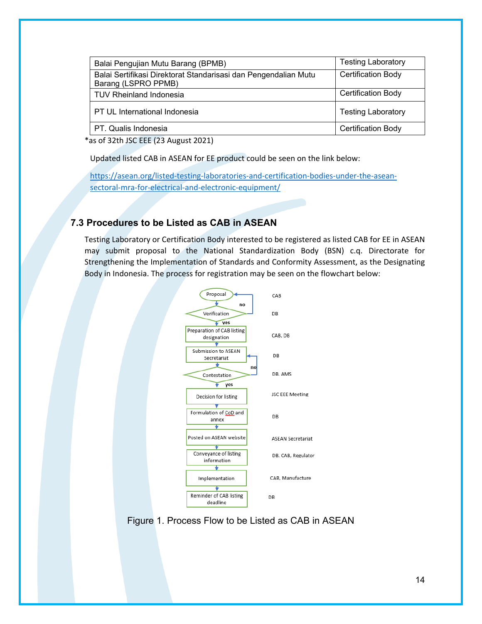| Balai Pengujian Mutu Barang (BPMB)                                                     | <b>Testing Laboratory</b> |
|----------------------------------------------------------------------------------------|---------------------------|
| Balai Sertifikasi Direktorat Standarisasi dan Pengendalian Mutu<br>Barang (LSPRO PPMB) | <b>Certification Body</b> |
| <b>TUV Rheinland Indonesia</b>                                                         | <b>Certification Body</b> |
| PT UL International Indonesia                                                          | <b>Testing Laboratory</b> |
| PT. Qualis Indonesia                                                                   | <b>Certification Body</b> |

\*as of 32th JSC EEE (23 August 2021)

Updated listed CAB in ASEAN for EE product could be seen on the link below:

[https://asean.org/listed-testing-laboratories-and-certification-bodies-under-the-asean](https://asean.org/listed-testing-laboratories-and-certification-bodies-under-the-asean-sectoral-mra-for-electrical-and-electronic-equipment/)[sectoral-mra-for-electrical-and-electronic-equipment/](https://asean.org/listed-testing-laboratories-and-certification-bodies-under-the-asean-sectoral-mra-for-electrical-and-electronic-equipment/)

### <span id="page-14-0"></span>**7.3 Procedures to be Listed as CAB in ASEAN**

Testing Laboratory or Certification Body interested to be registered as listed CAB for EE in ASEAN may submit proposal to the National Standardization Body (BSN) c.q. Directorate for Strengthening the Implementation of Standards and Conformity Assessment, as the Designating Body in Indonesia. The process for registration may be seen on the flowchart below:



Figure 1. Process Flow to be Listed as CAB in ASEAN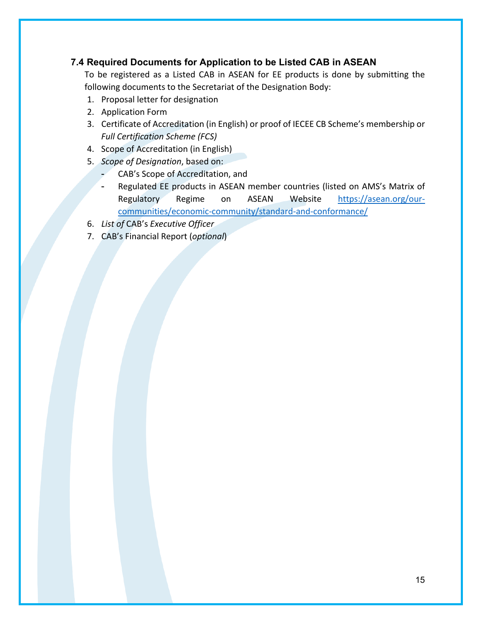### <span id="page-15-0"></span>**7.4 Required Documents for Application to be Listed CAB in ASEAN**

To be registered as a Listed CAB in ASEAN for EE products is done by submitting the following documents to the Secretariat of the Designation Body:

- 1. Proposal letter for designation
- 2. Application Form
- 3. Certificate of Accreditation (in English) or proof of IECEE CB Scheme's membership or *Full Certification Scheme (FCS)*
- 4. Scope of Accreditation (in English)
- 5. *Scope of Designation*, based on:
	- CAB's Scope of Accreditation, and
	- Regulated EE products in ASEAN member countries (listed on AMS's Matrix of Regulatory Regime on ASEAN Website [https://asean.org/our](https://asean.org/our-communities/economic-community/standard-and-conformance/)[communities/economic-community/standard-and-conformance/](https://asean.org/our-communities/economic-community/standard-and-conformance/)
- 6. *List of* CAB's *Executive Officer*
- 7. CAB's Financial Report (*optional*)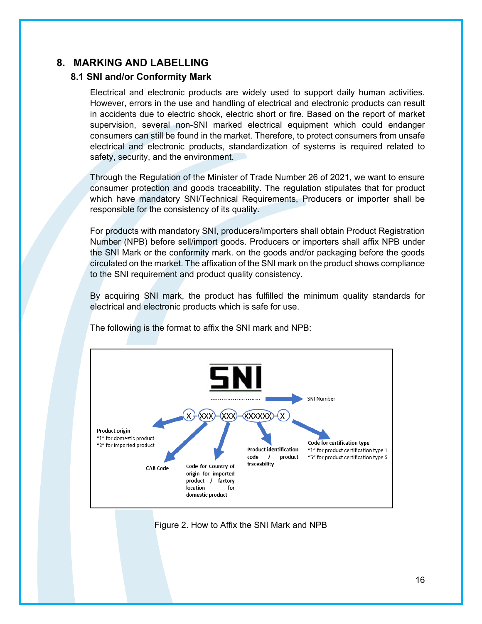## <span id="page-16-1"></span><span id="page-16-0"></span>**8. MARKING AND LABELLING**

### **8.1 SNI and/or Conformity Mark**

Electrical and electronic products are widely used to support daily human activities. However, errors in the use and handling of electrical and electronic products can result in accidents due to electric shock, electric short or fire. Based on the report of market supervision, several non-SNI marked electrical equipment which could endanger consumers can still be found in the market. Therefore, to protect consumers from unsafe electrical and electronic products, standardization of systems is required related to safety, security, and the environment.

Through the Regulation of the Minister of Trade Number 26 of 2021, we want to ensure consumer protection and goods traceability. The regulation stipulates that for product which have mandatory SNI/Technical Requirements, Producers or importer shall be responsible for the consistency of its quality.

For products with mandatory SNI, producers/importers shall obtain Product Registration Number (NPB) before sell/import goods. Producers or importers shall affix NPB under the SNI Mark or the conformity mark. on the goods and/or packaging before the goods circulated on the market. The affixation of the SNI mark on the product shows compliance to the SNI requirement and product quality consistency.

By acquiring SNI mark, the product has fulfilled the minimum quality standards for electrical and electronic products which is safe for use.



The following is the format to affix the SNI mark and NPB:

Figure 2. How to Affix the SNI Mark and NPB